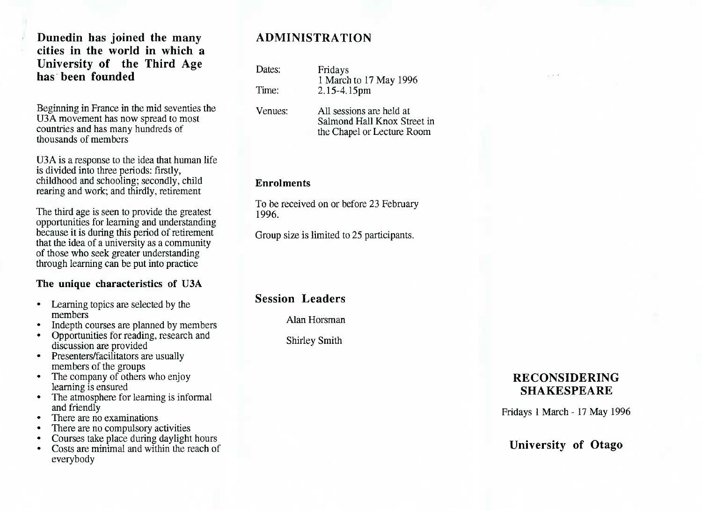**Dunedin has joined the many cities in the world in which a University of the Third Agehas been founded**

Beginning in France in the mid seventies the U3A movement has now spread to most countries and has many hundreds ofthousands of members

USA is a response to the idea that human life is divided into three periods: firstly, childhood and schooling; secondly, childrearing and work; and thirdly, retirement

The third age is seen to provide the greatest opportunities for learning and understanding because it is during this period of retirement that the idea of a university as a community of those who seek greater understandingthrough learning can be put into practice

### **The unique characteristics of U3A**

- Learning topics are selected by themembers
- Indepth courses are planned by members
- Opportunities for reading, research anddiscussion are provided
- Presenters/facilitators are usuallymembers of the groups
- • The company of others who enjoylearning is ensured
- The atmosphere for learning is informal and friendly
- There are no examinations
- There are no compulsory activities
- Courses take place during daylight hours
- Costs are minimal and within the reach ofeverybody

# **ADMINISTRATION**

Dates: Fridays Time: 2.15-4.15pm

Venues: All sessions are held at Salmond Hall Knox Street inthe Chapel or Lecture Room

1 March to 17 May 1996

#### **Enrolments**

To be received on or before 23 February1996.

Group size is limited to 25 participants.

**Session Leaders**

Alan Horsman

Shirley Smith

# **RECONSIDERINGSHAKESPEARE**

Fridays 1 March - 17 May 1996

**University of Otago**